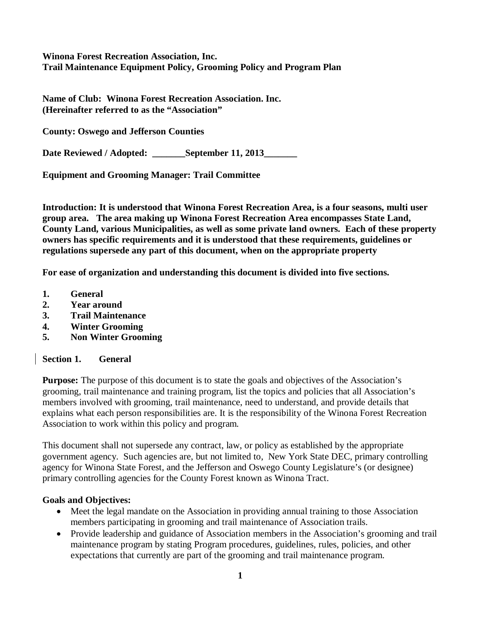**Winona Forest Recreation Association, Inc. Trail Maintenance Equipment Policy, Grooming Policy and Program Plan**

**Name of Club: Winona Forest Recreation Association. Inc. (Hereinafter referred to as the "Association"**

**County: Oswego and Jefferson Counties**

**Date Reviewed / Adopted:** September 11, 2013

**Equipment and Grooming Manager: Trail Committee**

**Introduction: It is understood that Winona Forest Recreation Area, is a four seasons, multi user group area. The area making up Winona Forest Recreation Area encompasses State Land, County Land, various Municipalities, as well as some private land owners. Each of these property owners has specific requirements and it is understood that these requirements, guidelines or regulations supersede any part of this document, when on the appropriate property**

**For ease of organization and understanding this document is divided into five sections.**

- **1. General**
- **2. Year around**
- **3. Trail Maintenance**
- **4. Winter Grooming**
- **5. Non Winter Grooming**

**Section 1. General**

**Purpose:** The purpose of this document is to state the goals and objectives of the Association's grooming, trail maintenance and training program, list the topics and policies that all Association's members involved with grooming, trail maintenance, need to understand, and provide details that explains what each person responsibilities are. It is the responsibility of the Winona Forest Recreation Association to work within this policy and program.

This document shall not supersede any contract, law, or policy as established by the appropriate government agency. Such agencies are, but not limited to, New York State DEC, primary controlling agency for Winona State Forest, and the Jefferson and Oswego County Legislature's (or designee) primary controlling agencies for the County Forest known as Winona Tract.

#### **Goals and Objectives:**

- Meet the legal mandate on the Association in providing annual training to those Association members participating in grooming and trail maintenance of Association trails.
- Provide leadership and guidance of Association members in the Association's grooming and trail maintenance program by stating Program procedures, guidelines, rules, policies, and other expectations that currently are part of the grooming and trail maintenance program.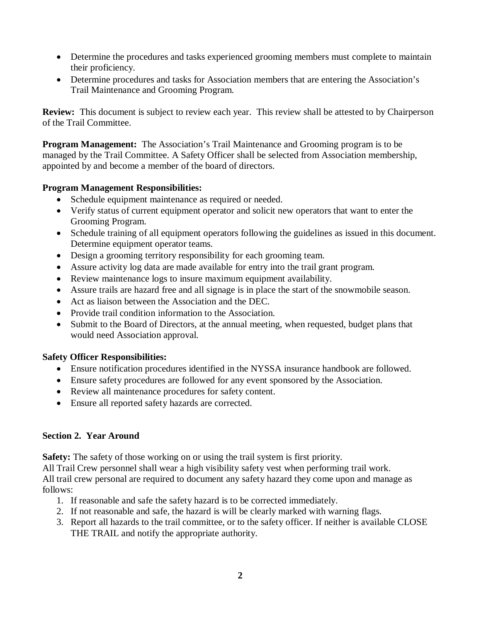- Determine the procedures and tasks experienced grooming members must complete to maintain their proficiency.
- Determine procedures and tasks for Association members that are entering the Association's Trail Maintenance and Grooming Program.

**Review:** This document is subject to review each year. This review shall be attested to by Chairperson of the Trail Committee.

**Program Management:** The Association's Trail Maintenance and Grooming program is to be managed by the Trail Committee. A Safety Officer shall be selected from Association membership, appointed by and become a member of the board of directors.

### **Program Management Responsibilities:**

- Schedule equipment maintenance as required or needed.
- Verify status of current equipment operator and solicit new operators that want to enter the Grooming Program.
- Schedule training of all equipment operators following the guidelines as issued in this document. Determine equipment operator teams.
- Design a grooming territory responsibility for each grooming team.
- Assure activity log data are made available for entry into the trail grant program.
- Review maintenance logs to insure maximum equipment availability.
- Assure trails are hazard free and all signage is in place the start of the snowmobile season.
- Act as liaison between the Association and the DEC.
- Provide trail condition information to the Association.
- Submit to the Board of Directors, at the annual meeting, when requested, budget plans that would need Association approval.

## **Safety Officer Responsibilities:**

- Ensure notification procedures identified in the NYSSA insurance handbook are followed.
- Ensure safety procedures are followed for any event sponsored by the Association.
- Review all maintenance procedures for safety content.
- Ensure all reported safety hazards are corrected.

### **Section 2. Year Around**

**Safety:** The safety of those working on or using the trail system is first priority.

All Trail Crew personnel shall wear a high visibility safety vest when performing trail work. All trail crew personal are required to document any safety hazard they come upon and manage as follows:

- 1. If reasonable and safe the safety hazard is to be corrected immediately.
- 2. If not reasonable and safe, the hazard is will be clearly marked with warning flags.
- 3. Report all hazards to the trail committee, or to the safety officer. If neither is available CLOSE THE TRAIL and notify the appropriate authority.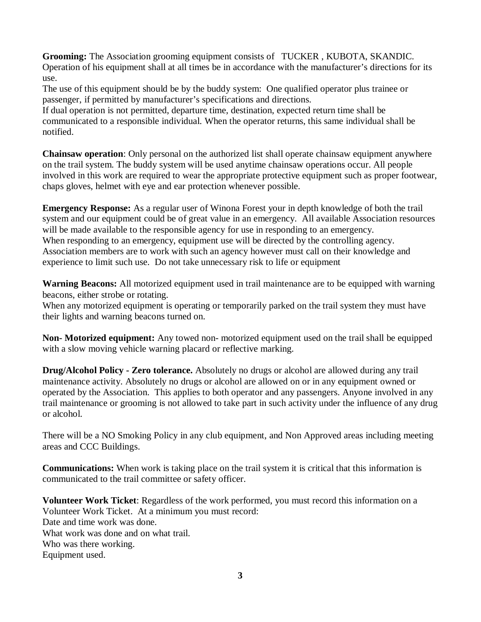**Grooming:** The Association grooming equipment consists of TUCKER , KUBOTA, SKANDIC. Operation of his equipment shall at all times be in accordance with the manufacturer's directions for its use.

The use of this equipment should be by the buddy system: One qualified operator plus trainee or passenger, if permitted by manufacturer's specifications and directions.

If dual operation is not permitted, departure time, destination, expected return time shall be communicated to a responsible individual. When the operator returns, this same individual shall be notified.

**Chainsaw operation**: Only personal on the authorized list shall operate chainsaw equipment anywhere on the trail system. The buddy system will be used anytime chainsaw operations occur. All people involved in this work are required to wear the appropriate protective equipment such as proper footwear, chaps gloves, helmet with eye and ear protection whenever possible.

**Emergency Response:** As a regular user of Winona Forest your in depth knowledge of both the trail system and our equipment could be of great value in an emergency. All available Association resources will be made available to the responsible agency for use in responding to an emergency. When responding to an emergency, equipment use will be directed by the controlling agency. Association members are to work with such an agency however must call on their knowledge and experience to limit such use. Do not take unnecessary risk to life or equipment

**Warning Beacons:** All motorized equipment used in trail maintenance are to be equipped with warning beacons, either strobe or rotating.

When any motorized equipment is operating or temporarily parked on the trail system they must have their lights and warning beacons turned on.

**Non- Motorized equipment:** Any towed non- motorized equipment used on the trail shall be equipped with a slow moving vehicle warning placard or reflective marking.

**Drug/Alcohol Policy - Zero tolerance.** Absolutely no drugs or alcohol are allowed during any trail maintenance activity. Absolutely no drugs or alcohol are allowed on or in any equipment owned or operated by the Association. This applies to both operator and any passengers. Anyone involved in any trail maintenance or grooming is not allowed to take part in such activity under the influence of any drug or alcohol.

There will be a NO Smoking Policy in any club equipment, and Non Approved areas including meeting areas and CCC Buildings.

**Communications:** When work is taking place on the trail system it is critical that this information is communicated to the trail committee or safety officer.

**Volunteer Work Ticket**: Regardless of the work performed, you must record this information on a Volunteer Work Ticket. At a minimum you must record: Date and time work was done. What work was done and on what trail. Who was there working. Equipment used.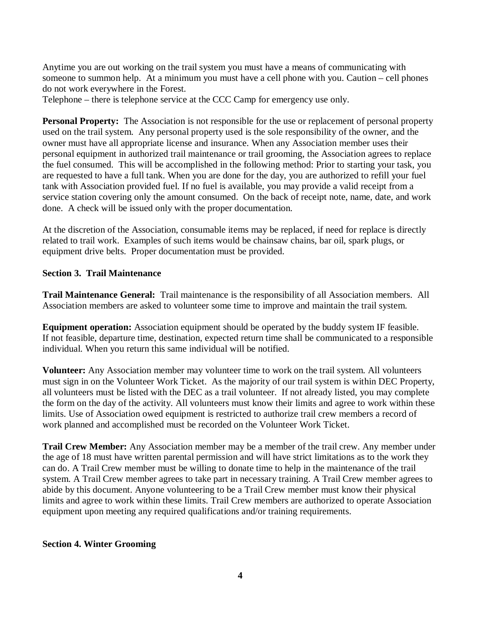Anytime you are out working on the trail system you must have a means of communicating with someone to summon help. At a minimum you must have a cell phone with you. Caution – cell phones do not work everywhere in the Forest.

Telephone – there is telephone service at the CCC Camp for emergency use only.

**Personal Property:** The Association is not responsible for the use or replacement of personal property used on the trail system. Any personal property used is the sole responsibility of the owner, and the owner must have all appropriate license and insurance. When any Association member uses their personal equipment in authorized trail maintenance or trail grooming, the Association agrees to replace the fuel consumed. This will be accomplished in the following method: Prior to starting your task, you are requested to have a full tank. When you are done for the day, you are authorized to refill your fuel tank with Association provided fuel. If no fuel is available, you may provide a valid receipt from a service station covering only the amount consumed. On the back of receipt note, name, date, and work done. A check will be issued only with the proper documentation.

At the discretion of the Association, consumable items may be replaced, if need for replace is directly related to trail work. Examples of such items would be chainsaw chains, bar oil, spark plugs, or equipment drive belts. Proper documentation must be provided.

# **Section 3. Trail Maintenance**

**Trail Maintenance General:** Trail maintenance is the responsibility of all Association members. All Association members are asked to volunteer some time to improve and maintain the trail system.

**Equipment operation:** Association equipment should be operated by the buddy system IF feasible. If not feasible, departure time, destination, expected return time shall be communicated to a responsible individual. When you return this same individual will be notified.

**Volunteer:** Any Association member may volunteer time to work on the trail system. All volunteers must sign in on the Volunteer Work Ticket. As the majority of our trail system is within DEC Property, all volunteers must be listed with the DEC as a trail volunteer. If not already listed, you may complete the form on the day of the activity. All volunteers must know their limits and agree to work within these limits. Use of Association owed equipment is restricted to authorize trail crew members a record of work planned and accomplished must be recorded on the Volunteer Work Ticket.

**Trail Crew Member:** Any Association member may be a member of the trail crew. Any member under the age of 18 must have written parental permission and will have strict limitations as to the work they can do. A Trail Crew member must be willing to donate time to help in the maintenance of the trail system. A Trail Crew member agrees to take part in necessary training. A Trail Crew member agrees to abide by this document. Anyone volunteering to be a Trail Crew member must know their physical limits and agree to work within these limits. Trail Crew members are authorized to operate Association equipment upon meeting any required qualifications and/or training requirements.

# **Section 4. Winter Grooming**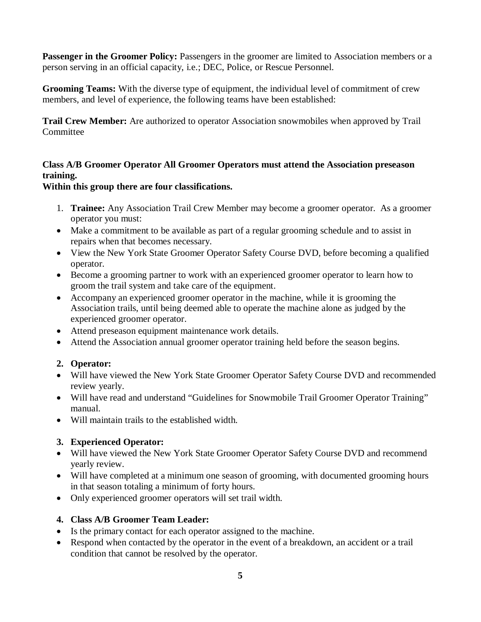**Passenger in the Groomer Policy:** Passengers in the groomer are limited to Association members or a person serving in an official capacity, i.e.; DEC, Police, or Rescue Personnel.

**Grooming Teams:** With the diverse type of equipment, the individual level of commitment of crew members, and level of experience, the following teams have been established:

**Trail Crew Member:** Are authorized to operator Association snowmobiles when approved by Trail **Committee** 

## **Class A/B Groomer Operator All Groomer Operators must attend the Association preseason training.**

### **Within this group there are four classifications.**

- 1. **Trainee:** Any Association Trail Crew Member may become a groomer operator. As a groomer operator you must:
- Make a commitment to be available as part of a regular grooming schedule and to assist in repairs when that becomes necessary.
- View the New York State Groomer Operator Safety Course DVD, before becoming a qualified operator.
- Become a grooming partner to work with an experienced groomer operator to learn how to groom the trail system and take care of the equipment.
- Accompany an experienced groomer operator in the machine, while it is grooming the Association trails, until being deemed able to operate the machine alone as judged by the experienced groomer operator.
- Attend preseason equipment maintenance work details.
- Attend the Association annual groomer operator training held before the season begins.

## **2. Operator:**

- Will have viewed the New York State Groomer Operator Safety Course DVD and recommended review yearly.
- Will have read and understand "Guidelines for Snowmobile Trail Groomer Operator Training" manual.
- Will maintain trails to the established width.

## **3. Experienced Operator:**

- Will have viewed the New York State Groomer Operator Safety Course DVD and recommend yearly review.
- Will have completed at a minimum one season of grooming, with documented grooming hours in that season totaling a minimum of forty hours.
- Only experienced groomer operators will set trail width.

## **4. Class A/B Groomer Team Leader:**

- Is the primary contact for each operator assigned to the machine.
- Respond when contacted by the operator in the event of a breakdown, an accident or a trail condition that cannot be resolved by the operator.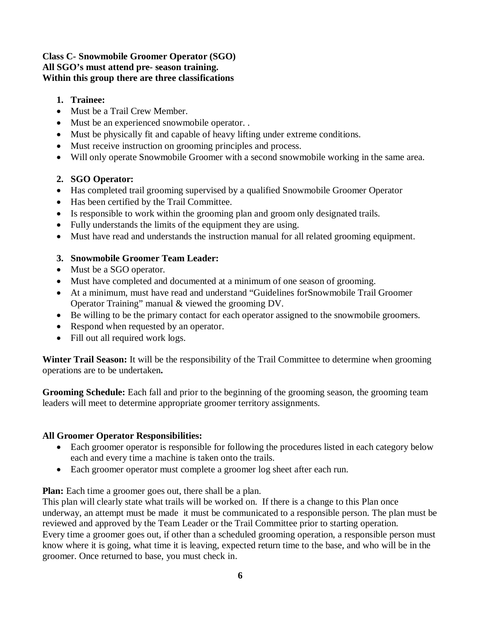#### **Class C- Snowmobile Groomer Operator (SGO) All SGO's must attend pre- season training. Within this group there are three classifications**

- **1. Trainee:**
- Must be a Trail Crew Member.
- Must be an experienced snowmobile operator. .
- Must be physically fit and capable of heavy lifting under extreme conditions.
- Must receive instruction on grooming principles and process.
- Will only operate Snowmobile Groomer with a second snowmobile working in the same area.

### **2. SGO Operator:**

- Has completed trail grooming supervised by a qualified Snowmobile Groomer Operator
- Has been certified by the Trail Committee.
- Is responsible to work within the grooming plan and groom only designated trails.
- Fully understands the limits of the equipment they are using.
- Must have read and understands the instruction manual for all related grooming equipment.

### **3. Snowmobile Groomer Team Leader:**

- Must be a SGO operator.
- Must have completed and documented at a minimum of one season of grooming.
- At a minimum, must have read and understand "Guidelines forSnowmobile Trail Groomer Operator Training" manual & viewed the grooming DV.
- Be willing to be the primary contact for each operator assigned to the snowmobile groomers.
- Respond when requested by an operator.
- Fill out all required work logs.

**Winter Trail Season:** It will be the responsibility of the Trail Committee to determine when grooming operations are to be undertaken**.**

**Grooming Schedule:** Each fall and prior to the beginning of the grooming season, the grooming team leaders will meet to determine appropriate groomer territory assignments.

### **All Groomer Operator Responsibilities:**

- Each groomer operator is responsible for following the procedures listed in each category below each and every time a machine is taken onto the trails.
- Each groomer operator must complete a groomer log sheet after each run.

**Plan:** Each time a groomer goes out, there shall be a plan.

This plan will clearly state what trails will be worked on. If there is a change to this Plan once underway, an attempt must be made it must be communicated to a responsible person. The plan must be reviewed and approved by the Team Leader or the Trail Committee prior to starting operation. Every time a groomer goes out, if other than a scheduled grooming operation, a responsible person must know where it is going, what time it is leaving, expected return time to the base, and who will be in the groomer. Once returned to base, you must check in.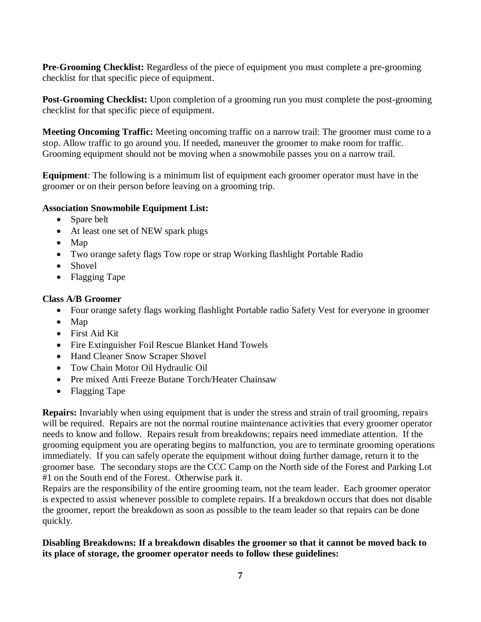**Pre-Grooming Checklist:** Regardless of the piece of equipment you must complete a pre-grooming checklist for that specific piece of equipment.

**Post-Grooming Checklist:** Upon completion of a grooming run you must complete the post-grooming checklist for that specific piece of equipment.

**Meeting Oncoming Traffic:** Meeting oncoming traffic on a narrow trail: The groomer must come to a stop. Allow traffic to go around you. If needed, maneuver the groomer to make room for traffic. Grooming equipment should not be moving when a snowmobile passes you on a narrow trail.

**Equipment**: The following is a minimum list of equipment each groomer operator must have in the groomer or on their person before leaving on a grooming trip.

### **Association Snowmobile Equipment List:**

- Spare belt
- At least one set of NEW spark plugs
- Map
- Two orange safety flags Tow rope or strap Working flashlight Portable Radio
- Shovel
- Flagging Tape

### **Class A/B Groomer**

- Four orange safety flags working flashlight Portable radio Safety Vest for everyone in groomer
- Map
- First Aid Kit
- Fire Extinguisher Foil Rescue Blanket Hand Towels
- Hand Cleaner Snow Scraper Shovel
- Tow Chain Motor Oil Hydraulic Oil
- Pre mixed Anti Freeze Butane Torch/Heater Chainsaw
- Flagging Tape

**Repairs:** Invariably when using equipment that is under the stress and strain of trail grooming, repairs will be required. Repairs are not the normal routine maintenance activities that every groomer operator needs to know and follow. Repairs result from breakdowns; repairs need immediate attention. If the grooming equipment you are operating begins to malfunction, you are to terminate grooming operations immediately. If you can safely operate the equipment without doing further damage, return it to the groomer base. The secondary stops are the CCC Camp on the North side of the Forest and Parking Lot #1 on the South end of the Forest. Otherwise park it.

Repairs are the responsibility of the entire grooming team, not the team leader. Each groomer operator is expected to assist whenever possible to complete repairs. If a breakdown occurs that does not disable the groomer, report the breakdown as soon as possible to the team leader so that repairs can be done quickly.

### **Disabling Breakdowns: If a breakdown disables the groomer so that it cannot be moved back to its place of storage, the groomer operator needs to follow these guidelines:**